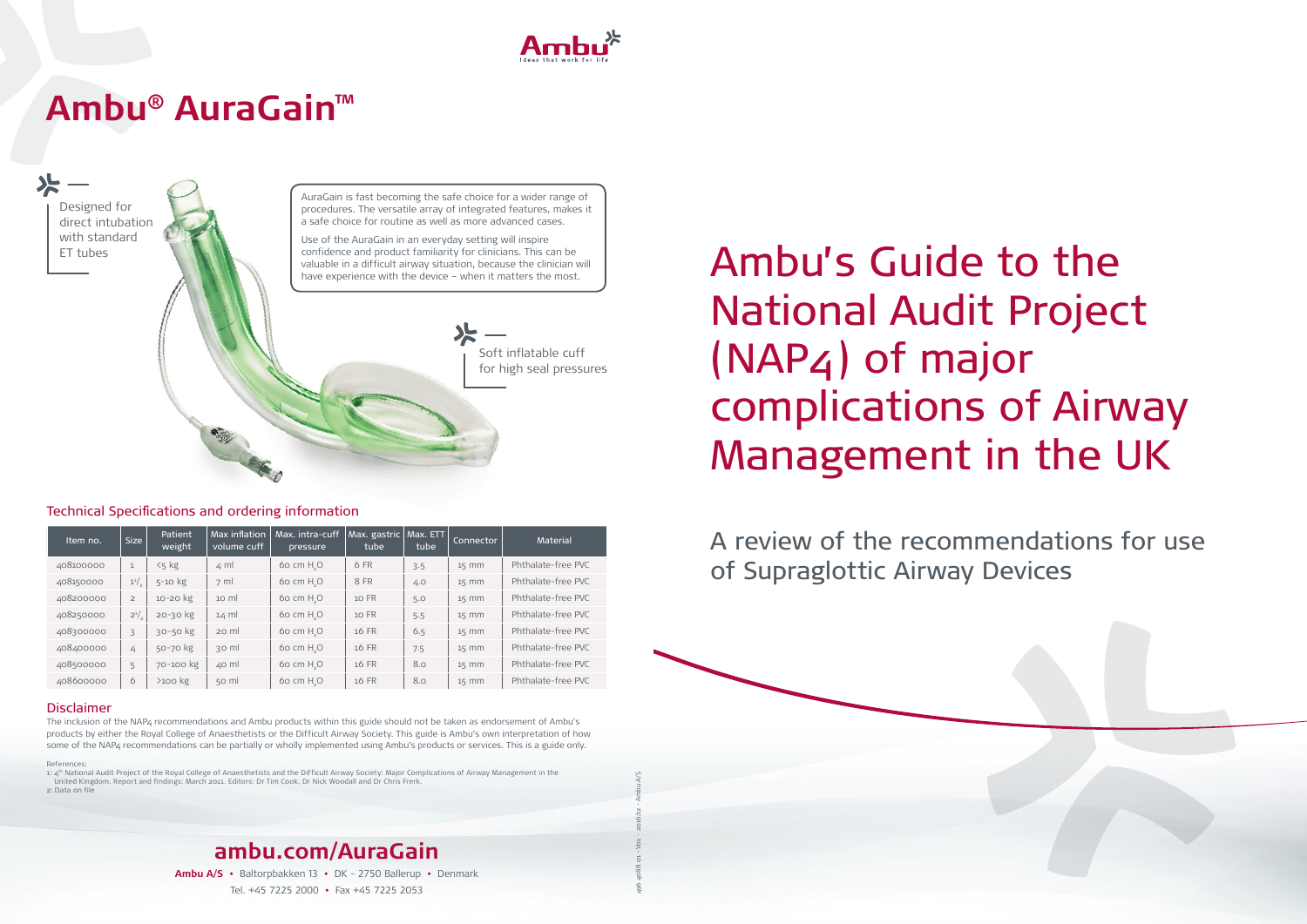National Audit Project (NAP4) of major complications of Airway Management in the UK

A review of the recommendations for use of Supraglottic Airway Devices

# Technical Specifications and ordering information

1: 4<sup>th</sup> National Audit Project of the Royal College of Anaesthetists and the Difficult Airway Society: Major Complications of Airway Management in the United Kingdom. Report and findings: March 2011. Editors: Dr Tim Cook, Dr Nick Woodall and Dr Chris Frerk.

| Item no.  | <b>Size</b>    | Patient<br>weight | Max inflation<br>volume cuff | Max. intra-cuff<br>pressure | Max. gastric<br>tube | Max. ETT<br>tube | <b>Connector</b> | <b>Material</b>    |
|-----------|----------------|-------------------|------------------------------|-----------------------------|----------------------|------------------|------------------|--------------------|
| 408100000 | $\mathbf{1}$   | $5<$ kg           | $\leq$ ml                    | 60 cm H <sub>_O</sub>       | 6 FR                 | 3.5              | $15$ mm          | Phthalate-free PVC |
| 408150000 | $1^{1/2}$      | $5-10$ kg         | $7 \mathrm{ml}$              | 60 cm $H_{\sim}$ O          | 8 FR                 | 4.0              | $15$ mm          | Phthalate-free PVC |
| 408200000 | $\overline{2}$ | 10-20 kg          | $10 \text{ ml}$              | 60 cm $H_{\circ}O$          | $10$ FR              | 5.0              | $15$ mm          | Phthalate-free PVC |
| 408250000 | $2^{1/2}$      | 20-30 kg          | $14 \text{ ml}$              | 60 cm $H_{\circ}O$          | $10$ FR              | 5.5              | $15$ mm          | Phthalate-free PVC |
| 408300000 | 3              | 30-50 kg          | 20 ml                        | 60 cm $H_{\circ}O$          | 16 FR                | 6.5              | $15$ mm          | Phthalate-free PVC |
| 408400000 | 4              | 50-70 kg          | 30 ml                        | 60 cm H <sub>-</sub> O      | $16$ FR              | 7.5              | $15$ mm          | Phthalate-free PVC |
| 408500000 | 5              | 70-100 kg         | $40$ ml                      | $60 \text{ cm } H_{\circ}O$ | 16 FR                | 8.0              | $15$ mm          | Phthalate-free PVC |
| 408600000 | 6              | $>100$ kg         | $50$ m                       | $60 \text{ cm } H_{\cdot}O$ | $16$ FR              | 8.0              | $15$ mm          | Phthalate-free PVC |

# Disclaimer

The inclusion of the NAP4 recommendations and Ambu products within this guide should not be taken as endorsement of Ambu's products by either the Royal College of Anaesthetists or the Difficult Airway Society. This guide is Ambu's own interpretation of how some of the NAP4 recommendations can be partially or wholly implemented using Ambu's products or services. This is a guide only.

References:

2: Data on file





496 4088 01 - V01 - 2016/12 - Ambu A/S

# **Ambu® AuraGain™**

Designed for direct intubation with standard ET tubes Soft inflatable cuff for high seal pressures AuraGain is fast becoming the safe choice for a wider range of procedures. The versatile array of integrated features, makes it a safe choice for routine as well as more advanced cases. Use of the AuraGain in an everyday setting will inspire confidence and product familiarity for clinicians. This can be valuable in a difficult airway situation, because the clinician will Confidence and product familiarity for clinicians. This can be  $\mathbb{R}$ <br>
valuable in a difficult airway situation, because the clinician will<br>have experience with the device – when it matters the most.